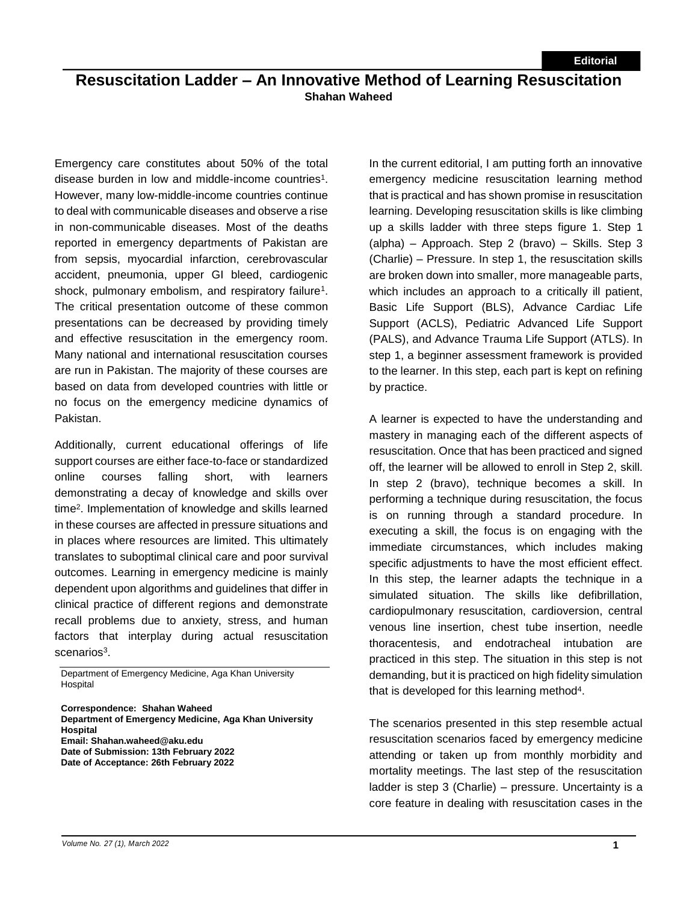## **Resuscitation Ladder – An Innovative Method of Learning Resuscitation Shahan Waheed**

Emergency care constitutes about 50% of the total disease burden in low and middle-income countries<sup>1</sup>. However, many low-middle-income countries continue to deal with communicable diseases and observe a rise in non-communicable diseases. Most of the deaths reported in emergency departments of Pakistan are from sepsis, myocardial infarction, cerebrovascular accident, pneumonia, upper GI bleed, cardiogenic shock, pulmonary embolism, and respiratory failure<sup>1</sup>. The critical presentation outcome of these common presentations can be decreased by providing timely and effective resuscitation in the emergency room. Many national and international resuscitation courses are run in Pakistan. The majority of these courses are based on data from developed countries with little or no focus on the emergency medicine dynamics of Pakistan.

Additionally, current educational offerings of life support courses are either face-to-face or standardized online courses falling short, with learners demonstrating a decay of knowledge and skills over time<sup>2</sup> . Implementation of knowledge and skills learned in these courses are affected in pressure situations and in places where resources are limited. This ultimately translates to suboptimal clinical care and poor survival outcomes. Learning in emergency medicine is mainly dependent upon algorithms and guidelines that differ in clinical practice of different regions and demonstrate recall problems due to anxiety, stress, and human factors that interplay during actual resuscitation scenarios<sup>3</sup>.

Department of Emergency Medicine, Aga Khan University **Hospital** 

**Correspondence: Shahan Waheed Department of Emergency Medicine, Aga Khan University Hospital Email: Shahan.waheed@aku.edu Date of Submission: 13th February 2022 Date of Acceptance: 26th February 2022**

In the current editorial, I am putting forth an innovative emergency medicine resuscitation learning method that is practical and has shown promise in resuscitation learning. Developing resuscitation skills is like climbing up a skills ladder with three steps figure 1. Step 1 (alpha) – Approach. Step 2 (bravo) – Skills. Step 3 (Charlie) – Pressure. In step 1, the resuscitation skills are broken down into smaller, more manageable parts, which includes an approach to a critically ill patient, Basic Life Support (BLS), Advance Cardiac Life Support (ACLS), Pediatric Advanced Life Support (PALS), and Advance Trauma Life Support (ATLS). In step 1, a beginner assessment framework is provided to the learner. In this step, each part is kept on refining by practice.

A learner is expected to have the understanding and mastery in managing each of the different aspects of resuscitation. Once that has been practiced and signed off, the learner will be allowed to enroll in Step 2, skill. In step 2 (bravo), technique becomes a skill. In performing a technique during resuscitation, the focus is on running through a standard procedure. In executing a skill, the focus is on engaging with the immediate circumstances, which includes making specific adjustments to have the most efficient effect. In this step, the learner adapts the technique in a simulated situation. The skills like defibrillation, cardiopulmonary resuscitation, cardioversion, central venous line insertion, chest tube insertion, needle thoracentesis, and endotracheal intubation are practiced in this step. The situation in this step is not demanding, but it is practiced on high fidelity simulation that is developed for this learning method<sup>4</sup>.

The scenarios presented in this step resemble actual resuscitation scenarios faced by emergency medicine attending or taken up from monthly morbidity and mortality meetings. The last step of the resuscitation ladder is step 3 (Charlie) – pressure. Uncertainty is a core feature in dealing with resuscitation cases in the